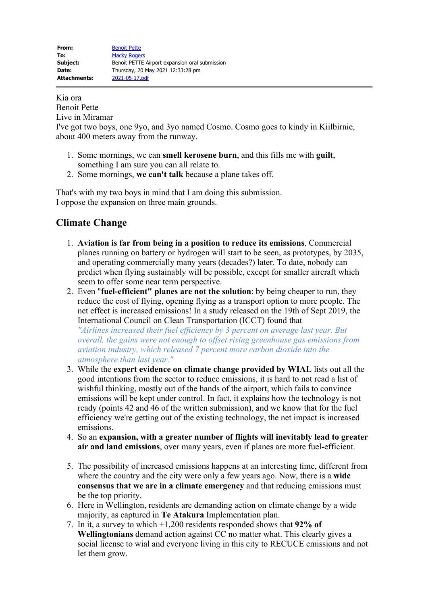Kia ora

Benoit Pette

Live in Miramar

I've got two boys, one 9yo, and 3yo named Cosmo. Cosmo goes to kindy in Kiilbirnie, about 400 meters away from the runway.

- 1. Some mornings, we can **smell kerosene burn**, and this fills me with **guilt**, something I am sure you can all relate to.
- 2. Some mornings, **we can't talk** because a plane takes off.

That's with my two boys in mind that I am doing this submission. I oppose the expansion on three main grounds.

## **Climate Change**

- 1. **Aviation is far from being in a position to reduce its emissions**. Commercial planes running on battery or hydrogen will start to be seen, as prototypes, by 2035, and operating commercially many years (decades?) later. To date, nobody can predict when flying sustainably will be possible, except for smaller aircraft which seem to offer some near term perspective.
- 2. Even "**fuel-efficient" planes are not the solution**: by being cheaper to run, they reduce the cost of flying, opening flying as a transport option to more people. The net effect is increased emissions! In a study released on the 19th of Sept 2019, the International Council on Clean Transportation (ICCT) found that

*"Airlines increased their fuel efficiency by 3 percent on average last year. But overall, the gains were not enough to offset rising greenhouse gas emissions from aviation industry, which released 7 percent more carbon dioxide into the atmosphere than last year."*

- 3. While the **expert evidence on climate change provided by WIAL** lists out all the good intentions from the sector to reduce emissions, it is hard to not read a list of wishful thinking, mostly out of the hands of the airport, which fails to convince emissions will be kept under control. In fact, it explains how the technology is not ready (points 42 and 46 of the written submission), and we know that for the fuel efficiency we're getting out of the existing technology, the net impact is increased emissions.
- 4. So an **expansion, with a greater number of flights will inevitably lead to greater air and land emissions**, over many years, even if planes are more fuel-efficient.
- 5. The possibility of increased emissions happens at an interesting time, different from where the country and the city were only a few years ago. Now, there is a **wide consensus that we are in a climate emergency** and that reducing emissions must be the top priority.
- 6. Here in Wellington, residents are demanding action on climate change by a wide majority, as captured in **Te Atakura** Implementation plan.
- 7. In it, a survey to which +1,200 residents responded shows that **92% of Wellingtonians** demand action against CC no matter what. This clearly gives a social license to wial and everyone living in this city to RECUCE emissions and not let them grow.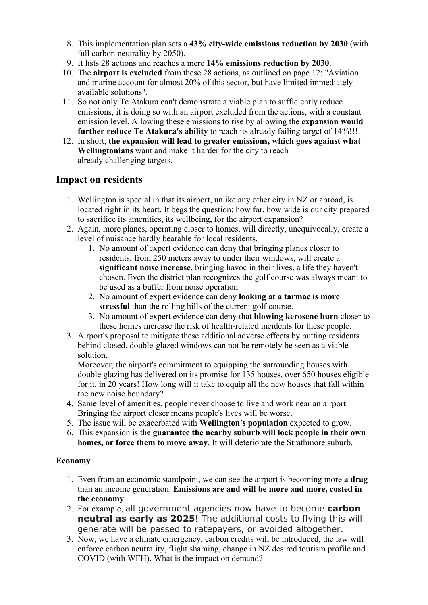- 8. This implementation plan sets a **43% city-wide emissions reduction by 2030** (with full carbon neutrality by 2050).
- 9. It lists 28 actions and reaches a mere **14% emissions reduction by 2030**.
- 10. The **airport is excluded** from these 28 actions, as outlined on page 12: "Aviation and marine account for almost 20% of this sector, but have limited immediately available solutions".
- 11. So not only Te Atakura can't demonstrate a viable plan to sufficiently reduce emissions, it is doing so with an airport excluded from the actions, with a constant emission level. Allowing these emissions to rise by allowing the **expansion would further reduce Te Atakura's ability** to reach its already failing target of 14%!!!
- 12. In short, **the expansion will lead to greater emissions, which goes against what Wellingtonians** want and make it harder for the city to reach already challenging targets.

## **Impact on residents**

- 1. Wellington is special in that its airport, unlike any other city in NZ or abroad, is located right in its heart. It begs the question: how far, how wide is our city prepared to sacrifice its amenities, its wellbeing, for the airport expansion?
- 2. Again, more planes, operating closer to homes, will directly, unequivocally, create a level of nuisance hardly bearable for local residents.
	- 1. No amount of expert evidence can deny that bringing planes closer to residents, from 250 meters away to under their windows, will create a **significant noise increase**, bringing havoc in their lives, a life they haven't chosen. Even the district plan recognizes the golf course was always meant to be used as a buffer from noise operation.
	- 2. No amount of expert evidence can deny **looking at a tarmac is more stressful** than the rolling hills of the current golf course.
	- 3. No amount of expert evidence can deny that **blowing kerosene burn** closer to these homes increase the risk of health-related incidents for these people.
- 3. Airport's proposal to mitigate these additional adverse effects by putting residents behind closed, double-glazed windows can not be remotely be seen as a viable solution.

Moreover, the airport's commitment to equipping the surrounding houses with double glazing has delivered on its promise for 135 houses, over 650 houses eligible for it, in 20 years! How long will it take to equip all the new houses that fall within the new noise boundary?

- 4. Same level of amenities, people never choose to live and work near an airport. Bringing the airport closer means people's lives will be worse.
- 5. The issue will be exacerbated with **Wellington's population** expected to grow.
- 6. This expansion is the **guarantee the nearby suburb will lock people in their own homes, or force them to move away**. It will deteriorate the Strathmore suburb.

## **Economy**

- 1. Even from an economic standpoint, we can see the airport is becoming more **a drag** than an income generation. **Emissions are and will be more and more, costed in the economy**.
- 2. For example, all government agencies now have to become **carbon neutral as early as 2025**! The additional costs to flying this will generate will be passed to ratepayers, or avoided altogether.
- 3. Now, we have a climate emergency, carbon credits will be introduced, the law will enforce carbon neutrality, flight shaming, change in NZ desired tourism profile and COVID (with WFH). What is the impact on demand?